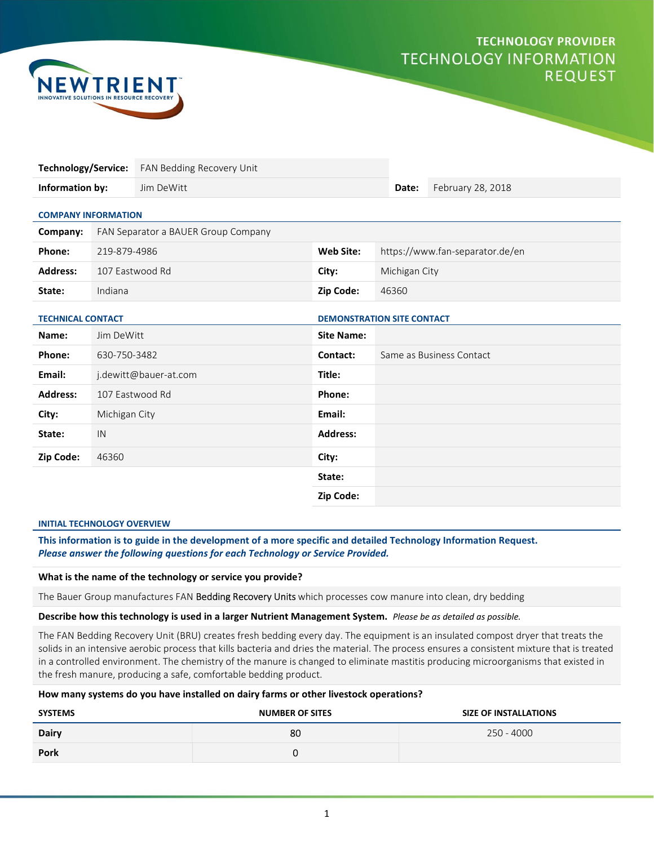# **TECHNOLOGY PROVIDER TECHNOLOGY INFORMATION REQUEST**



| Technology/Service:        |                                     | FAN Bedding Recovery Unit         |                   |                                 |       |                   |
|----------------------------|-------------------------------------|-----------------------------------|-------------------|---------------------------------|-------|-------------------|
| Information by:            |                                     | Jim DeWitt                        |                   |                                 | Date: | February 28, 2018 |
| <b>COMPANY INFORMATION</b> |                                     |                                   |                   |                                 |       |                   |
| Company:                   | FAN Separator a BAUER Group Company |                                   |                   |                                 |       |                   |
| Phone:                     | 219-879-4986                        |                                   | Web Site:         | https://www.fan-separator.de/en |       |                   |
| <b>Address:</b>            | 107 Eastwood Rd                     |                                   | City:             | Michigan City                   |       |                   |
| State:                     | Indiana                             |                                   | Zip Code:         | 46360                           |       |                   |
| <b>TECHNICAL CONTACT</b>   |                                     | <b>DEMONSTRATION SITE CONTACT</b> |                   |                                 |       |                   |
| Name:                      | Jim DeWitt                          |                                   | <b>Site Name:</b> |                                 |       |                   |
| Phone:                     | 630-750-3482                        |                                   | Contact:          | Same as Business Contact        |       |                   |
| Email:                     | j.dewitt@bauer-at.com               |                                   | Title:            |                                 |       |                   |
| <b>Address:</b>            | 107 Eastwood Rd                     |                                   | Phone:            |                                 |       |                   |
| City:                      | Michigan City                       |                                   | Email:            |                                 |       |                   |
| State:                     | IN                                  |                                   | <b>Address:</b>   |                                 |       |                   |
| Zip Code:                  | 46360                               |                                   | City:             |                                 |       |                   |
|                            |                                     |                                   | State:            |                                 |       |                   |
|                            |                                     |                                   | Zip Code:         |                                 |       |                   |

#### INITIAL TECHNOLOGY OVERVIEW

This information is to guide in the development of a more specific and detailed Technology Information Request. Please answer the following questions for each Technology or Service Provided.

#### What is the name of the technology or service you provide?

The Bauer Group manufactures FAN Bedding Recovery Units which processes cow manure into clean, dry bedding

### Describe how this technology is used in a larger Nutrient Management System. Please be as detailed as possible.

The FAN Bedding Recovery Unit (BRU) creates fresh bedding every day. The equipment is an insulated compost dryer that treats the solids in an intensive aerobic process that kills bacteria and dries the material. The process ensures a consistent mixture that is treated in a controlled environment. The chemistry of the manure is changed to eliminate mastitis producing microorganisms that existed in the fresh manure, producing a safe, comfortable bedding product.

# How many systems do you have installed on dairy farms or other livestock operations?

| <b>SYSTEMS</b> | <b>NUMBER OF SITES</b> | <b>SIZE OF INSTALLATIONS</b> |
|----------------|------------------------|------------------------------|
| <b>Dairy</b>   | 80                     | 250 - 4000                   |
| <b>Pork</b>    |                        |                              |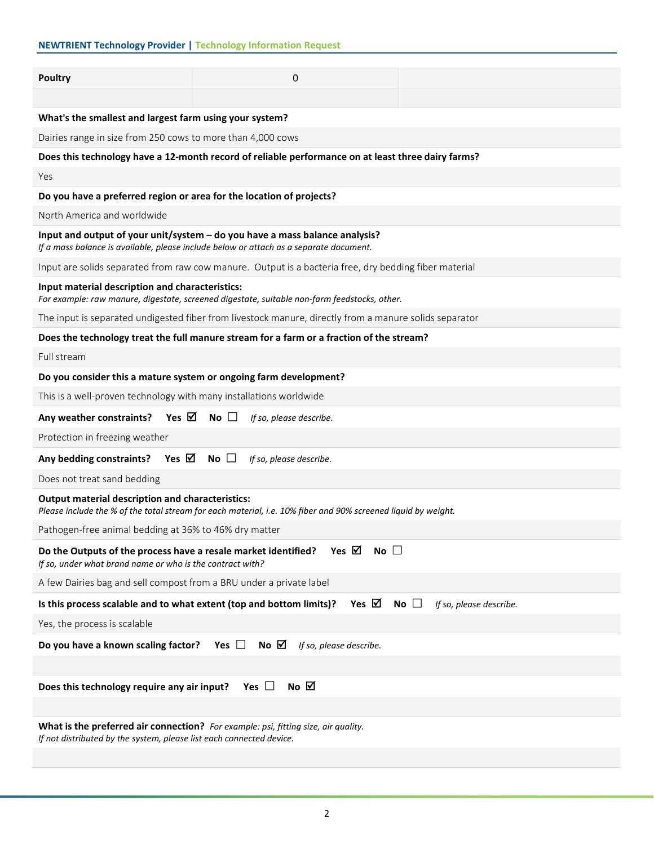# NEWTRIENT Technology Provider | Technology Information Request

| <b>Poultry</b>                                                                                                                                                 | 0                                                                                                                                                                     |  |  |  |  |
|----------------------------------------------------------------------------------------------------------------------------------------------------------------|-----------------------------------------------------------------------------------------------------------------------------------------------------------------------|--|--|--|--|
|                                                                                                                                                                |                                                                                                                                                                       |  |  |  |  |
| What's the smallest and largest farm using your system?                                                                                                        |                                                                                                                                                                       |  |  |  |  |
| Dairies range in size from 250 cows to more than 4,000 cows                                                                                                    |                                                                                                                                                                       |  |  |  |  |
|                                                                                                                                                                | Does this technology have a 12-month record of reliable performance on at least three dairy farms?                                                                    |  |  |  |  |
| Yes                                                                                                                                                            |                                                                                                                                                                       |  |  |  |  |
| Do you have a preferred region or area for the location of projects?                                                                                           |                                                                                                                                                                       |  |  |  |  |
| North America and worldwide                                                                                                                                    |                                                                                                                                                                       |  |  |  |  |
|                                                                                                                                                                | Input and output of your unit/system - do you have a mass balance analysis?<br>If a mass balance is available, please include below or attach as a separate document. |  |  |  |  |
|                                                                                                                                                                | Input are solids separated from raw cow manure. Output is a bacteria free, dry bedding fiber material                                                                 |  |  |  |  |
| Input material description and characteristics:<br>For example: raw manure, digestate, screened digestate, suitable non-farm feedstocks, other.                |                                                                                                                                                                       |  |  |  |  |
|                                                                                                                                                                | The input is separated undigested fiber from livestock manure, directly from a manure solids separator                                                                |  |  |  |  |
|                                                                                                                                                                | Does the technology treat the full manure stream for a farm or a fraction of the stream?                                                                              |  |  |  |  |
| Full stream                                                                                                                                                    |                                                                                                                                                                       |  |  |  |  |
| Do you consider this a mature system or ongoing farm development?                                                                                              |                                                                                                                                                                       |  |  |  |  |
| This is a well-proven technology with many installations worldwide                                                                                             |                                                                                                                                                                       |  |  |  |  |
| Yes $\boxtimes$ No $\Box$<br>Any weather constraints?                                                                                                          | If so, please describe.                                                                                                                                               |  |  |  |  |
| Protection in freezing weather                                                                                                                                 |                                                                                                                                                                       |  |  |  |  |
| Yes ⊠<br>Any bedding constraints?                                                                                                                              | No $\Box$<br>If so, please describe.                                                                                                                                  |  |  |  |  |
| Does not treat sand bedding                                                                                                                                    |                                                                                                                                                                       |  |  |  |  |
| <b>Output material description and characteristics:</b>                                                                                                        | Please include the % of the total stream for each material, i.e. 10% fiber and 90% screened liquid by weight.                                                         |  |  |  |  |
| Pathogen-free animal bedding at 36% to 46% dry matter                                                                                                          |                                                                                                                                                                       |  |  |  |  |
| Yes $\boxtimes$<br>No $\square$<br>Do the Outputs of the process have a resale market identified?<br>If so, under what brand name or who is the contract with? |                                                                                                                                                                       |  |  |  |  |
| A few Dairies bag and sell compost from a BRU under a private label                                                                                            |                                                                                                                                                                       |  |  |  |  |
| Is this process scalable and to what extent (top and bottom limits)?                                                                                           | Yes $\boxtimes$<br>No $\square$<br>If so, please describe.                                                                                                            |  |  |  |  |
| Yes, the process is scalable                                                                                                                                   |                                                                                                                                                                       |  |  |  |  |
| Do you have a known scaling factor?                                                                                                                            | No $\boxtimes$<br>Yes $\Box$<br>If so, please describe.                                                                                                               |  |  |  |  |
|                                                                                                                                                                |                                                                                                                                                                       |  |  |  |  |
| Does this technology require any air input?                                                                                                                    | No $\boxtimes$<br>Yes $\Box$                                                                                                                                          |  |  |  |  |
|                                                                                                                                                                |                                                                                                                                                                       |  |  |  |  |
| What is the preferred air connection? For example: psi, fitting size, air quality.<br>If not distributed by the system, please list each connected device.     |                                                                                                                                                                       |  |  |  |  |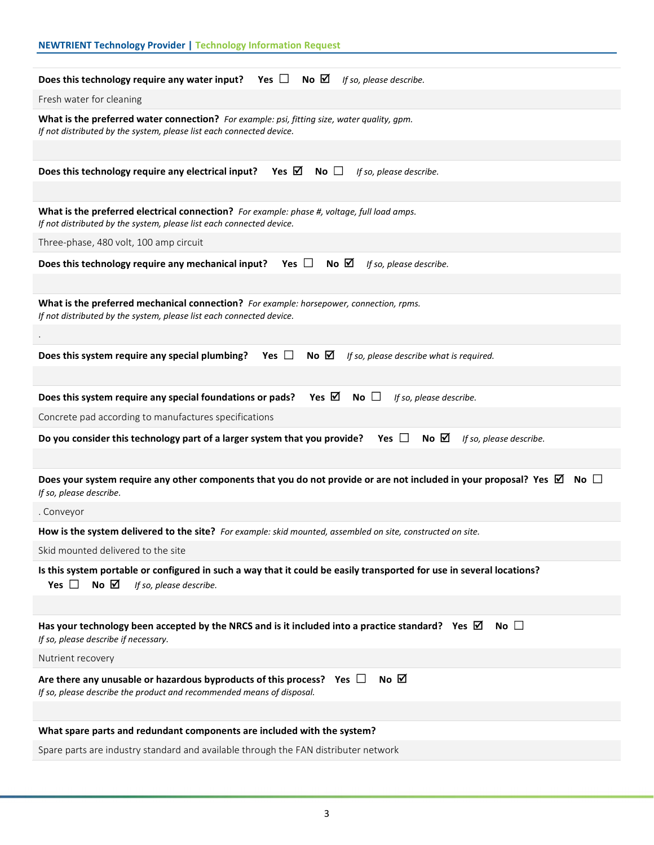| <b>NEWTRIENT Technology Provider   Technology Information Request</b>                                                                                                         |
|-------------------------------------------------------------------------------------------------------------------------------------------------------------------------------|
| Does this technology require any water input? Yes $\Box$ No $\boxtimes$<br>If so, please describe.                                                                            |
| Fresh water for cleaning                                                                                                                                                      |
| What is the preferred water connection? For example: psi, fitting size, water quality, gpm.<br>If not distributed by the system, please list each connected device.           |
|                                                                                                                                                                               |
| Yes $\boxtimes$<br>Does this technology require any electrical input?<br>No $\square$<br>If so, please describe.                                                              |
| What is the preferred electrical connection? For example: phase #, voltage, full load amps.<br>If not distributed by the system, please list each connected device.           |
| Three-phase, 480 volt, 100 amp circuit                                                                                                                                        |
| Yes $\Box$<br>No $\boxtimes$<br>Does this technology require any mechanical input?<br>If so, please describe.                                                                 |
|                                                                                                                                                                               |
| What is the preferred mechanical connection? For example: horsepower, connection, rpms.<br>If not distributed by the system, please list each connected device.               |
|                                                                                                                                                                               |
| No $\boxtimes$<br>Does this system require any special plumbing?<br>Yes $\Box$<br>If so, please describe what is required.                                                    |
|                                                                                                                                                                               |
| Yes $\boxtimes$<br>Does this system require any special foundations or pads?<br>No $\Box$<br>If so, please describe.                                                          |
| Concrete pad according to manufactures specifications                                                                                                                         |
| Yes $\Box$<br>No $\boxtimes$<br>Do you consider this technology part of a larger system that you provide?<br>If so, please describe.                                          |
|                                                                                                                                                                               |
| Does your system require any other components that you do not provide or are not included in your proposal? Yes $\boxtimes$<br>No $\square$<br>If so, please describe.        |
| . Conveyor                                                                                                                                                                    |
| How is the system delivered to the site? For example: skid mounted, assembled on site, constructed on site.                                                                   |
| Skid mounted delivered to the site                                                                                                                                            |
| Is this system portable or configured in such a way that it could be easily transported for use in several locations?<br>Yes $\Box$ No $\boxtimes$<br>If so, please describe. |
|                                                                                                                                                                               |
| No $\square$<br>Has your technology been accepted by the NRCS and is it included into a practice standard? Yes $\boxtimes$<br>If so, please describe if necessary.            |
| Nutrient recovery                                                                                                                                                             |
| No $\boxtimes$<br>Are there any unusable or hazardous byproducts of this process? Yes $\Box$<br>If so, please describe the product and recommended means of disposal.         |
|                                                                                                                                                                               |
| What spare parts and redundant components are included with the system?                                                                                                       |
| Spare parts are industry standard and available through the FAN distributer network                                                                                           |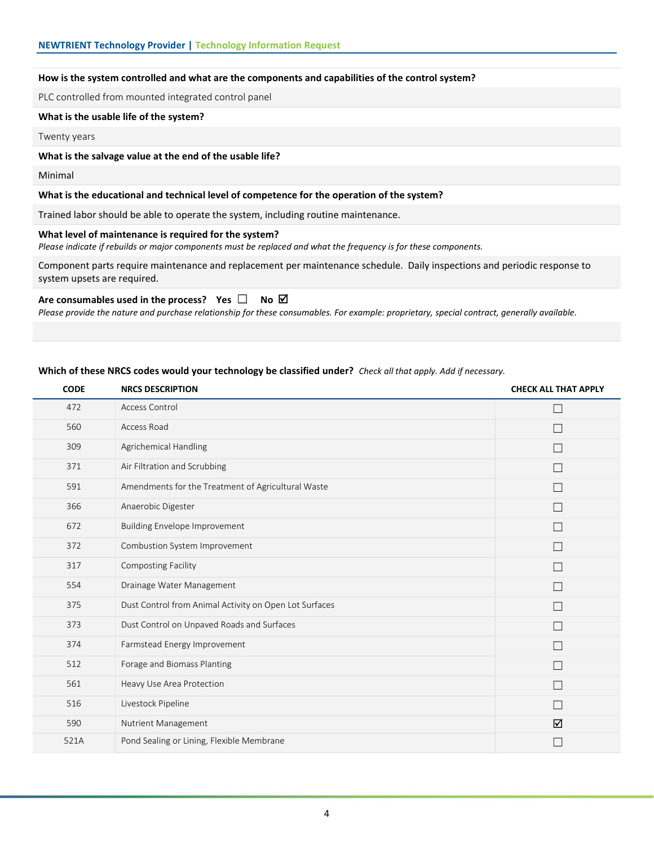## How is the system controlled and what are the components and capabilities of the control system?

PLC controlled from mounted integrated control panel

### What is the usable life of the system?

Twenty years

#### What is the salvage value at the end of the usable life?

Minimal

### What is the educational and technical level of competence for the operation of the system?

Trained labor should be able to operate the system, including routine maintenance.

# What level of maintenance is required for the system?

Please indicate if rebuilds or major components must be replaced and what the frequency is for these components.

Component parts require maintenance and replacement per maintenance schedule. Daily inspections and periodic response to system upsets are required.

### Are consumables used in the process? Yes  $\square$  No  $\boxtimes$

Please provide the nature and purchase relationship for these consumables. For example: proprietary, special contract, generally available.

### Which of these NRCS codes would your technology be classified under? Check all that apply. Add if necessary.

| <b>CODE</b> | <b>NRCS DESCRIPTION</b>                                | <b>CHECK ALL THAT APPLY</b> |
|-------------|--------------------------------------------------------|-----------------------------|
| 472         | Access Control                                         | П                           |
| 560         | Access Road                                            |                             |
| 309         | Agrichemical Handling                                  | П                           |
| 371         | Air Filtration and Scrubbing                           | П                           |
| 591         | Amendments for the Treatment of Agricultural Waste     | П                           |
| 366         | Anaerobic Digester                                     | П                           |
| 672         | <b>Building Envelope Improvement</b>                   | П                           |
| 372         | Combustion System Improvement                          | П                           |
| 317         | <b>Composting Facility</b>                             | $\overline{\phantom{0}}$    |
| 554         | Drainage Water Management                              | $\overline{\phantom{0}}$    |
| 375         | Dust Control from Animal Activity on Open Lot Surfaces | П                           |
| 373         | Dust Control on Unpaved Roads and Surfaces             | П                           |
| 374         | Farmstead Energy Improvement                           | П                           |
| 512         | Forage and Biomass Planting                            | П                           |
| 561         | Heavy Use Area Protection                              | П                           |
| 516         | Livestock Pipeline                                     | П                           |
| 590         | Nutrient Management                                    | ☑                           |
| 521A        | Pond Sealing or Lining, Flexible Membrane              |                             |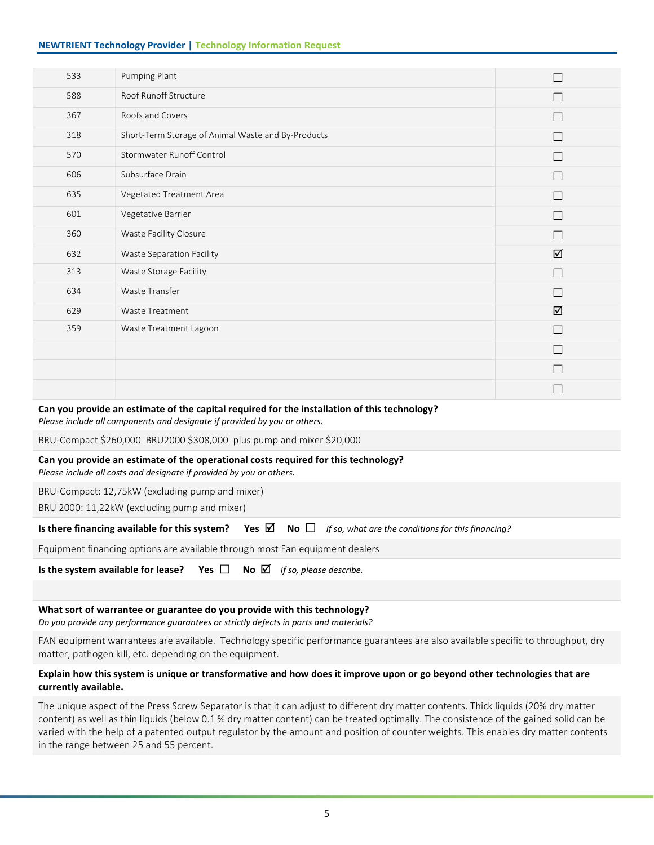# NEWTRIENT Technology Provider | Technology Information Request

| 533 | Pumping Plant                                      |        |
|-----|----------------------------------------------------|--------|
| 588 | Roof Runoff Structure                              |        |
| 367 | Roofs and Covers                                   |        |
| 318 | Short-Term Storage of Animal Waste and By-Products | Г      |
| 570 | <b>Stormwater Runoff Control</b>                   | $\Box$ |
| 606 | Subsurface Drain                                   |        |
| 635 | Vegetated Treatment Area                           |        |
| 601 | Vegetative Barrier                                 |        |
| 360 | Waste Facility Closure                             |        |
| 632 | Waste Separation Facility                          | ☑      |
| 313 | Waste Storage Facility                             | $\Box$ |
| 634 | Waste Transfer                                     |        |
| 629 | Waste Treatment                                    | ☑      |
| 359 | Waste Treatment Lagoon                             |        |
|     |                                                    |        |
|     |                                                    |        |
|     |                                                    |        |

# Can you provide an estimate of the capital required for the installation of this technology?

Please include all components and designate if provided by you or others.

BRU-Compact \$260,000 BRU2000 \$308,000 plus pump and mixer \$20,000

# Can you provide an estimate of the operational costs required for this technology?

Please include all costs and designate if provided by you or others.

BRU-Compact: 12,75kW (excluding pump and mixer)

BRU 2000: 11,22kW (excluding pump and mixer)

|  |  |  | Is there financing available for this system? Yes $\boxtimes$ No $\Box$ If so, what are the conditions for this financing? |
|--|--|--|----------------------------------------------------------------------------------------------------------------------------|
|--|--|--|----------------------------------------------------------------------------------------------------------------------------|

Equipment financing options are available through most Fan equipment dealers

Is the system available for lease? Yes  $\Box$  No  $\Box$  If so, please describe.

### What sort of warrantee or guarantee do you provide with this technology?

Do you provide any performance guarantees or strictly defects in parts and materials?

FAN equipment warrantees are available. Technology specific performance guarantees are also available specific to throughput, dry matter, pathogen kill, etc. depending on the equipment.

# Explain how this system is unique or transformative and how does it improve upon or go beyond other technologies that are currently available.

The unique aspect of the Press Screw Separator is that it can adjust to different dry matter contents. Thick liquids (20% dry matter content) as well as thin liquids (below 0.1 % dry matter content) can be treated optimally. The consistence of the gained solid can be varied with the help of a patented output regulator by the amount and position of counter weights. This enables dry matter contents in the range between 25 and 55 percent.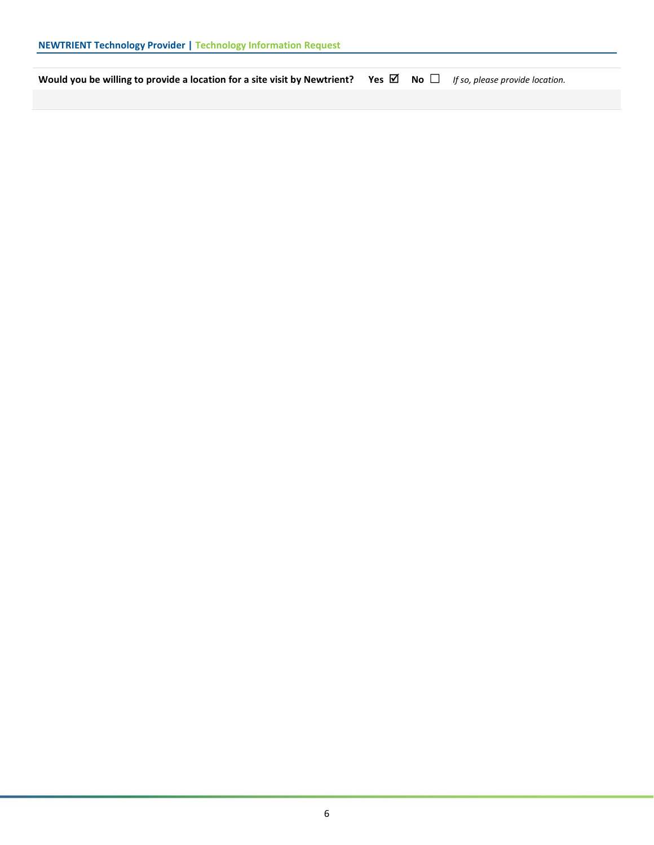Would you be willing to provide a location for a site visit by Newtrient? Yes  $\boxtimes$  No  $\Box$  If so, please provide location.